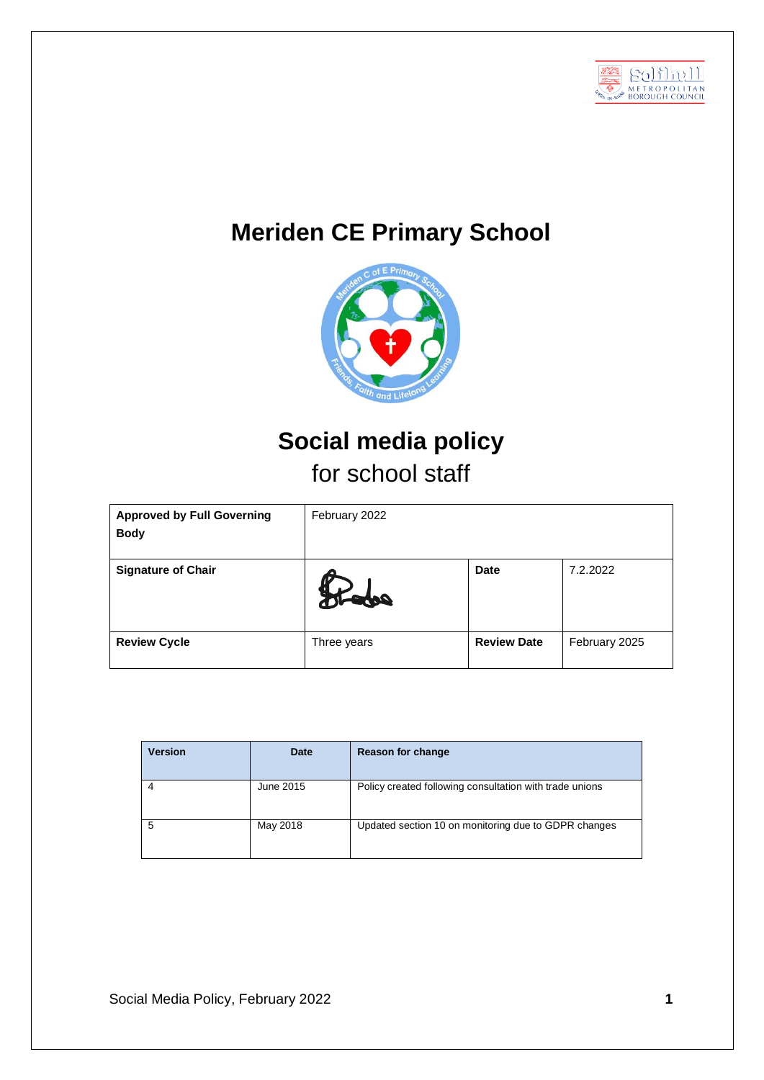

# **Meriden CE Primary School**



## **Social media policy** for school staff

| <b>Approved by Full Governing</b><br><b>Body</b> | February 2022             |                    |               |
|--------------------------------------------------|---------------------------|--------------------|---------------|
| <b>Signature of Chair</b>                        | $\boldsymbol{U}_\text{r}$ | <b>Date</b>        | 7.2.2022      |
| <b>Review Cycle</b>                              | Three years               | <b>Review Date</b> | February 2025 |

| <b>Version</b> | Date      | <b>Reason for change</b>                                |
|----------------|-----------|---------------------------------------------------------|
|                | June 2015 | Policy created following consultation with trade unions |
| 5              | May 2018  | Updated section 10 on monitoring due to GDPR changes    |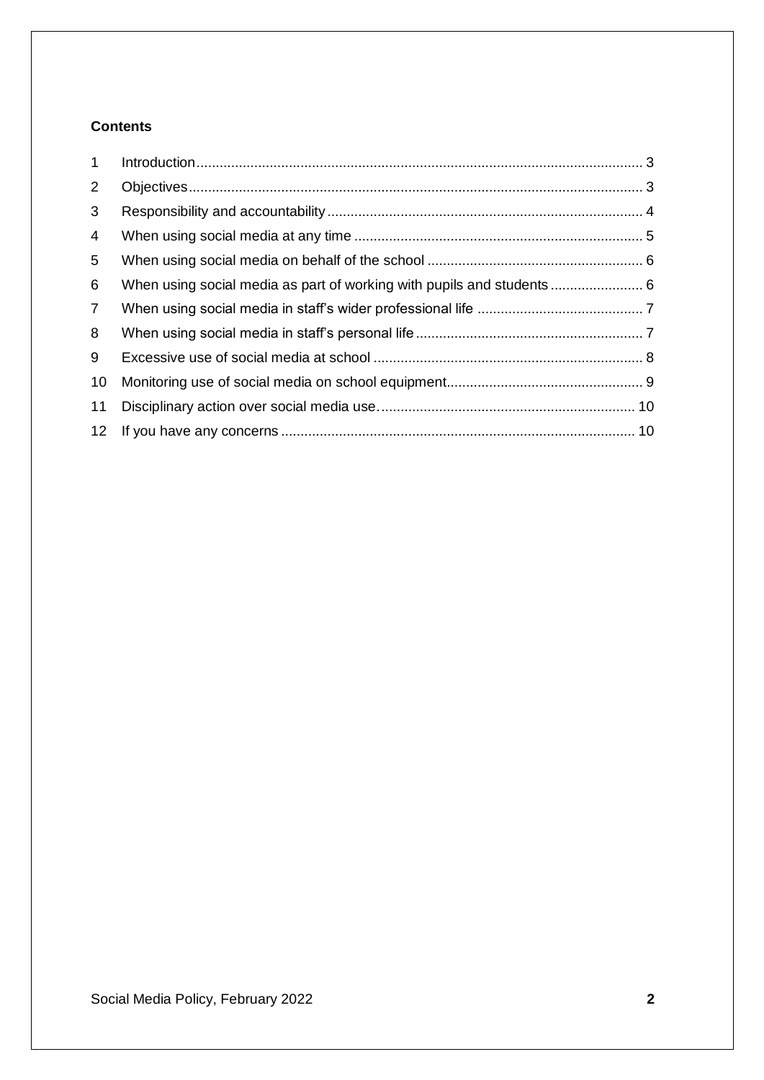## **Contents**

| 1               |                                                                       |  |
|-----------------|-----------------------------------------------------------------------|--|
| 2               |                                                                       |  |
| 3               |                                                                       |  |
| 4               |                                                                       |  |
| 5               |                                                                       |  |
| 6               | When using social media as part of working with pupils and students 6 |  |
| $\overline{7}$  |                                                                       |  |
| 8               |                                                                       |  |
| 9               |                                                                       |  |
| 10              |                                                                       |  |
| 11              |                                                                       |  |
| 12 <sup>2</sup> |                                                                       |  |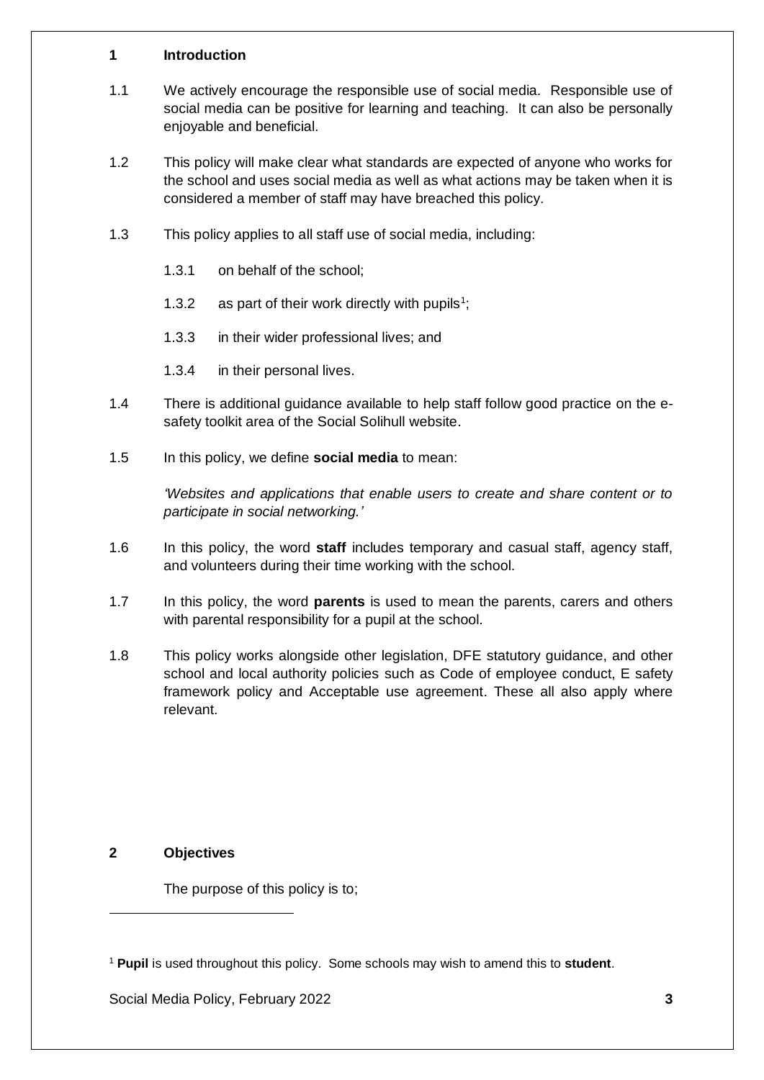#### <span id="page-2-0"></span>**1 Introduction**

- 1.1 We actively encourage the responsible use of social media. Responsible use of social media can be positive for learning and teaching. It can also be personally enjoyable and beneficial.
- 1.2 This policy will make clear what standards are expected of anyone who works for the school and uses social media as well as what actions may be taken when it is considered a member of staff may have breached this policy.
- 1.3 This policy applies to all staff use of social media, including:
	- 1.3.1 on behalf of the school;
	- 1.3.2 as part of their work directly with pupils<sup>1</sup>;
	- 1.3.3 in their wider professional lives; and
	- 1.3.4 in their personal lives.
- 1.4 There is additional guidance available to help staff follow good practice on the esafety toolkit area of the Social Solihull website.
- 1.5 In this policy, we define **social media** to mean:

*'Websites and applications that enable users to create and share content or to participate in social networking.'*

- 1.6 In this policy, the word **staff** includes temporary and casual staff, agency staff, and volunteers during their time working with the school.
- 1.7 In this policy, the word **parents** is used to mean the parents, carers and others with parental responsibility for a pupil at the school.
- 1.8 This policy works alongside other legislation, DFE statutory guidance, and other school and local authority policies such as Code of employee conduct, E safety framework policy and Acceptable use agreement. These all also apply where relevant.

## <span id="page-2-1"></span>**2 Objectives**

l

The purpose of this policy is to;

<sup>1</sup> **Pupil** is used throughout this policy. Some schools may wish to amend this to **student**.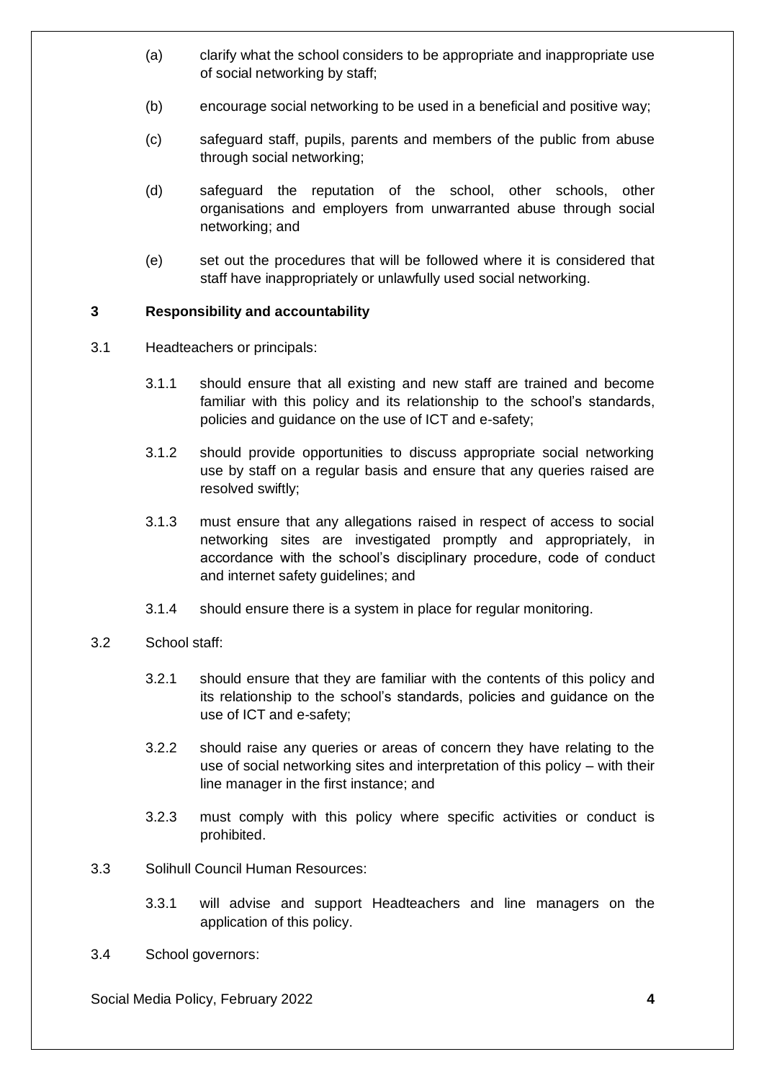- (a) clarify what the school considers to be appropriate and inappropriate use of social networking by staff;
- (b) encourage social networking to be used in a beneficial and positive way;
- (c) safeguard staff, pupils, parents and members of the public from abuse through social networking;
- (d) safeguard the reputation of the school, other schools, other organisations and employers from unwarranted abuse through social networking; and
- (e) set out the procedures that will be followed where it is considered that staff have inappropriately or unlawfully used social networking.

## <span id="page-3-0"></span>**3 Responsibility and accountability**

- 3.1 Headteachers or principals:
	- 3.1.1 should ensure that all existing and new staff are trained and become familiar with this policy and its relationship to the school's standards, policies and guidance on the use of ICT and e-safety;
	- 3.1.2 should provide opportunities to discuss appropriate social networking use by staff on a regular basis and ensure that any queries raised are resolved swiftly;
	- 3.1.3 must ensure that any allegations raised in respect of access to social networking sites are investigated promptly and appropriately, in accordance with the school's disciplinary procedure, code of conduct and internet safety guidelines; and
	- 3.1.4 should ensure there is a system in place for regular monitoring.
- 3.2 School staff:
	- 3.2.1 should ensure that they are familiar with the contents of this policy and its relationship to the school's standards, policies and guidance on the use of ICT and e-safety;
	- 3.2.2 should raise any queries or areas of concern they have relating to the use of social networking sites and interpretation of this policy – with their line manager in the first instance; and
	- 3.2.3 must comply with this policy where specific activities or conduct is prohibited.
- 3.3 Solihull Council Human Resources:
	- 3.3.1 will advise and support Headteachers and line managers on the application of this policy.
- 3.4 School governors:

Social Media Policy, February 2022 **4**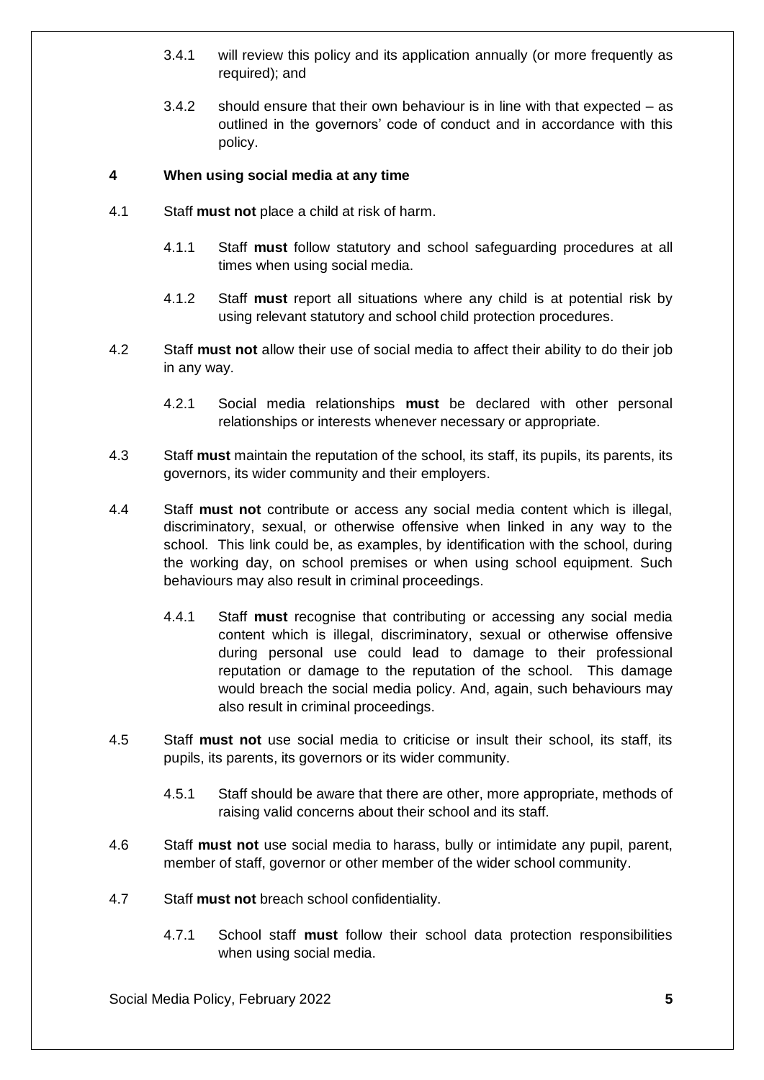- 3.4.1 will review this policy and its application annually (or more frequently as required); and
- 3.4.2 should ensure that their own behaviour is in line with that expected as outlined in the governors' code of conduct and in accordance with this policy.

## <span id="page-4-0"></span>**4 When using social media at any time**

- 4.1 Staff **must not** place a child at risk of harm.
	- 4.1.1 Staff **must** follow statutory and school safeguarding procedures at all times when using social media.
	- 4.1.2 Staff **must** report all situations where any child is at potential risk by using relevant statutory and school child protection procedures.
- 4.2 Staff **must not** allow their use of social media to affect their ability to do their job in any way.
	- 4.2.1 Social media relationships **must** be declared with other personal relationships or interests whenever necessary or appropriate.
- 4.3 Staff **must** maintain the reputation of the school, its staff, its pupils, its parents, its governors, its wider community and their employers.
- 4.4 Staff **must not** contribute or access any social media content which is illegal, discriminatory, sexual, or otherwise offensive when linked in any way to the school. This link could be, as examples, by identification with the school, during the working day, on school premises or when using school equipment. Such behaviours may also result in criminal proceedings.
	- 4.4.1 Staff **must** recognise that contributing or accessing any social media content which is illegal, discriminatory, sexual or otherwise offensive during personal use could lead to damage to their professional reputation or damage to the reputation of the school. This damage would breach the social media policy. And, again, such behaviours may also result in criminal proceedings.
- 4.5 Staff **must not** use social media to criticise or insult their school, its staff, its pupils, its parents, its governors or its wider community.
	- 4.5.1 Staff should be aware that there are other, more appropriate, methods of raising valid concerns about their school and its staff.
- 4.6 Staff **must not** use social media to harass, bully or intimidate any pupil, parent, member of staff, governor or other member of the wider school community.
- 4.7 Staff **must not** breach school confidentiality.
	- 4.7.1 School staff **must** follow their school data protection responsibilities when using social media.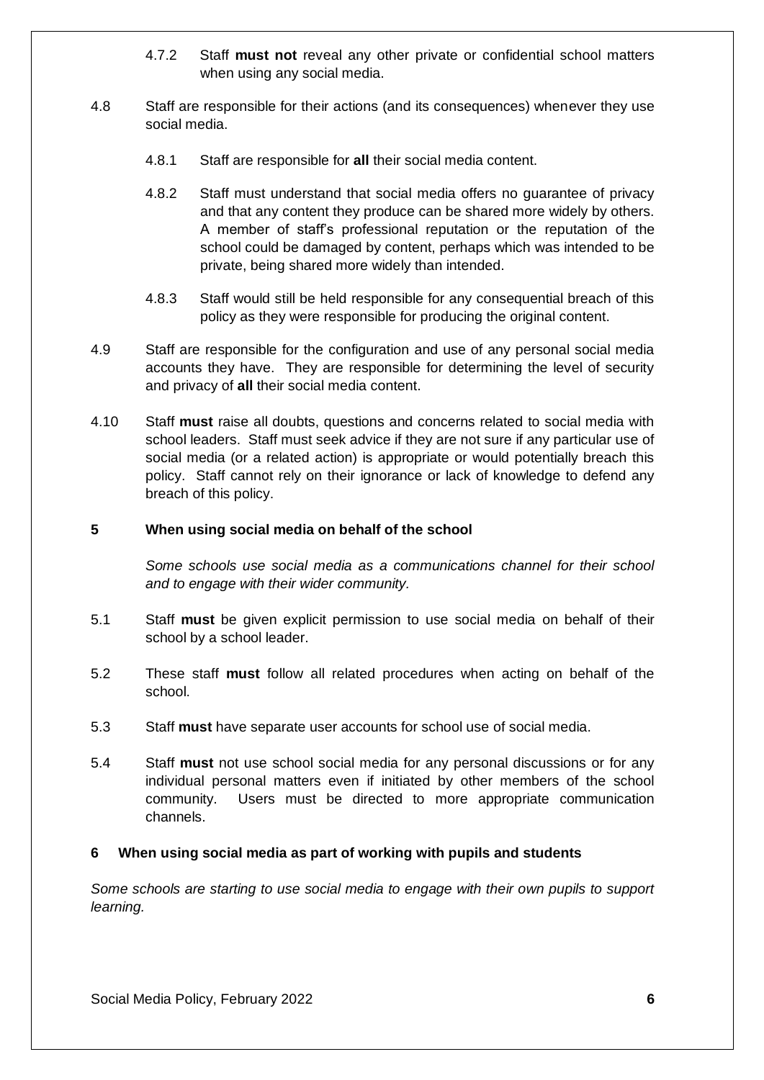- 4.7.2 Staff **must not** reveal any other private or confidential school matters when using any social media.
- 4.8 Staff are responsible for their actions (and its consequences) whenever they use social media.
	- 4.8.1 Staff are responsible for **all** their social media content.
	- 4.8.2 Staff must understand that social media offers no guarantee of privacy and that any content they produce can be shared more widely by others. A member of staff's professional reputation or the reputation of the school could be damaged by content, perhaps which was intended to be private, being shared more widely than intended.
	- 4.8.3 Staff would still be held responsible for any consequential breach of this policy as they were responsible for producing the original content.
- 4.9 Staff are responsible for the configuration and use of any personal social media accounts they have. They are responsible for determining the level of security and privacy of **all** their social media content.
- 4.10 Staff **must** raise all doubts, questions and concerns related to social media with school leaders. Staff must seek advice if they are not sure if any particular use of social media (or a related action) is appropriate or would potentially breach this policy. Staff cannot rely on their ignorance or lack of knowledge to defend any breach of this policy.

#### <span id="page-5-0"></span>**5 When using social media on behalf of the school**

*Some schools use social media as a communications channel for their school and to engage with their wider community.*

- 5.1 Staff **must** be given explicit permission to use social media on behalf of their school by a school leader.
- 5.2 These staff **must** follow all related procedures when acting on behalf of the school.
- 5.3 Staff **must** have separate user accounts for school use of social media.
- 5.4 Staff **must** not use school social media for any personal discussions or for any individual personal matters even if initiated by other members of the school community. Users must be directed to more appropriate communication channels.

#### <span id="page-5-1"></span>**6 When using social media as part of working with pupils and students**

*Some schools are starting to use social media to engage with their own pupils to support learning.*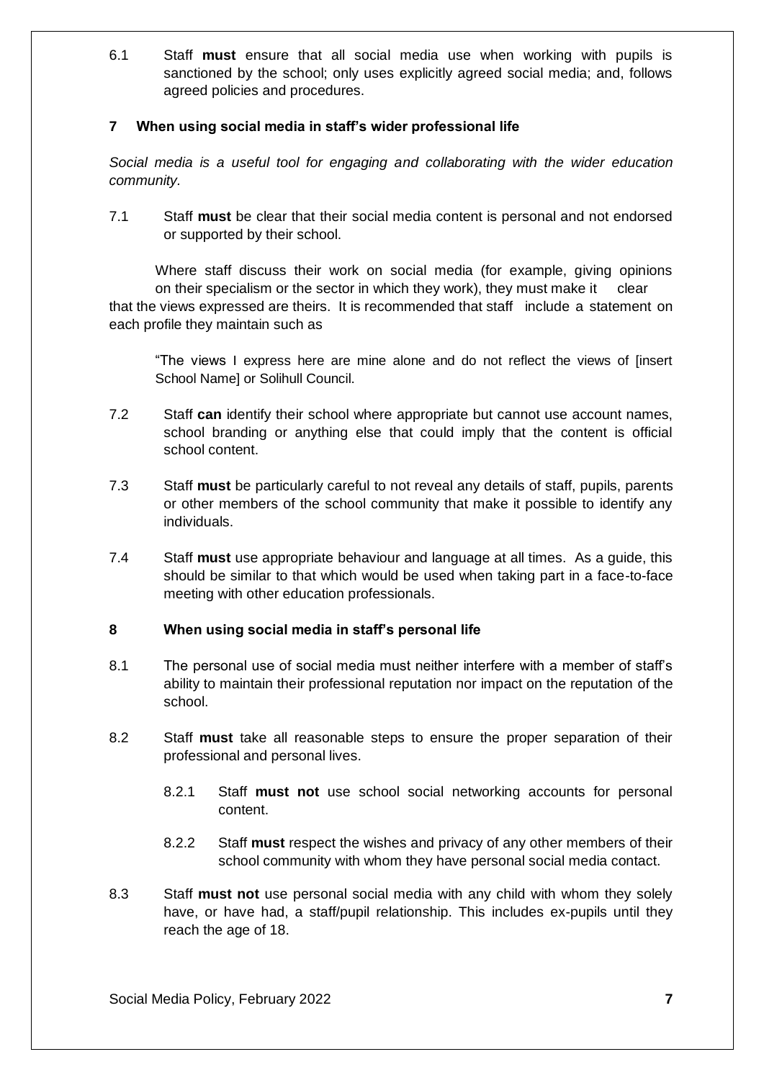6.1 Staff **must** ensure that all social media use when working with pupils is sanctioned by the school; only uses explicitly agreed social media; and, follows agreed policies and procedures.

## <span id="page-6-0"></span>**7 When using social media in staff's wider professional life**

*Social media is a useful tool for engaging and collaborating with the wider education community.*

7.1 Staff **must** be clear that their social media content is personal and not endorsed or supported by their school.

Where staff discuss their work on social media (for example, giving opinions on their specialism or the sector in which they work), they must make it clear that the views expressed are theirs. It is recommended that staff include a statement on each profile they maintain such as

"The views I express here are mine alone and do not reflect the views of [insert School Name] or Solihull Council.

- 7.2 Staff **can** identify their school where appropriate but cannot use account names, school branding or anything else that could imply that the content is official school content.
- 7.3 Staff **must** be particularly careful to not reveal any details of staff, pupils, parents or other members of the school community that make it possible to identify any individuals.
- 7.4 Staff **must** use appropriate behaviour and language at all times. As a guide, this should be similar to that which would be used when taking part in a face-to-face meeting with other education professionals.

#### <span id="page-6-1"></span>**8 When using social media in staff's personal life**

- 8.1 The personal use of social media must neither interfere with a member of staff's ability to maintain their professional reputation nor impact on the reputation of the school.
- 8.2 Staff **must** take all reasonable steps to ensure the proper separation of their professional and personal lives.
	- 8.2.1 Staff **must not** use school social networking accounts for personal content.
	- 8.2.2 Staff **must** respect the wishes and privacy of any other members of their school community with whom they have personal social media contact.
- 8.3 Staff **must not** use personal social media with any child with whom they solely have, or have had, a staff/pupil relationship. This includes ex-pupils until they reach the age of 18.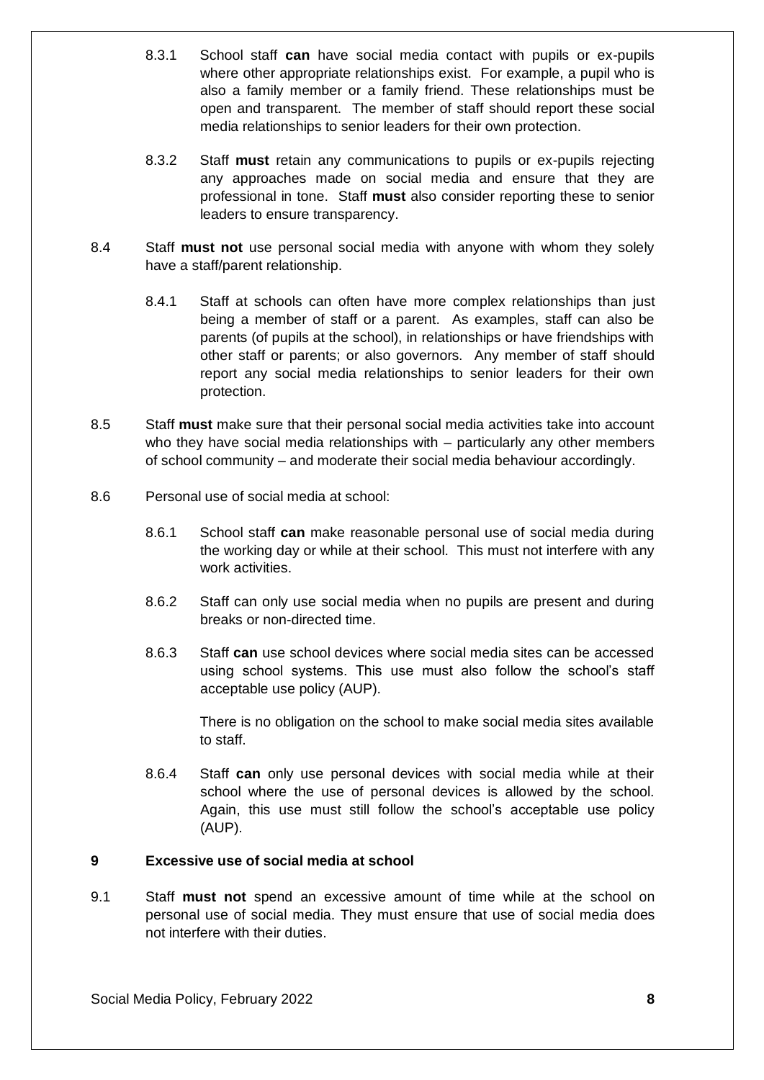- 8.3.1 School staff **can** have social media contact with pupils or ex-pupils where other appropriate relationships exist. For example, a pupil who is also a family member or a family friend. These relationships must be open and transparent. The member of staff should report these social media relationships to senior leaders for their own protection.
- 8.3.2 Staff **must** retain any communications to pupils or ex-pupils rejecting any approaches made on social media and ensure that they are professional in tone. Staff **must** also consider reporting these to senior leaders to ensure transparency.
- 8.4 Staff **must not** use personal social media with anyone with whom they solely have a staff/parent relationship.
	- 8.4.1 Staff at schools can often have more complex relationships than just being a member of staff or a parent. As examples, staff can also be parents (of pupils at the school), in relationships or have friendships with other staff or parents; or also governors. Any member of staff should report any social media relationships to senior leaders for their own protection.
- 8.5 Staff **must** make sure that their personal social media activities take into account who they have social media relationships with – particularly any other members of school community – and moderate their social media behaviour accordingly.
- 8.6 Personal use of social media at school:
	- 8.6.1 School staff **can** make reasonable personal use of social media during the working day or while at their school. This must not interfere with any work activities.
	- 8.6.2 Staff can only use social media when no pupils are present and during breaks or non-directed time.
	- 8.6.3 Staff **can** use school devices where social media sites can be accessed using school systems. This use must also follow the school's staff acceptable use policy (AUP).

There is no obligation on the school to make social media sites available to staff.

8.6.4 Staff **can** only use personal devices with social media while at their school where the use of personal devices is allowed by the school. Again, this use must still follow the school's acceptable use policy (AUP).

#### <span id="page-7-0"></span>**9 Excessive use of social media at school**

9.1 Staff **must not** spend an excessive amount of time while at the school on personal use of social media. They must ensure that use of social media does not interfere with their duties.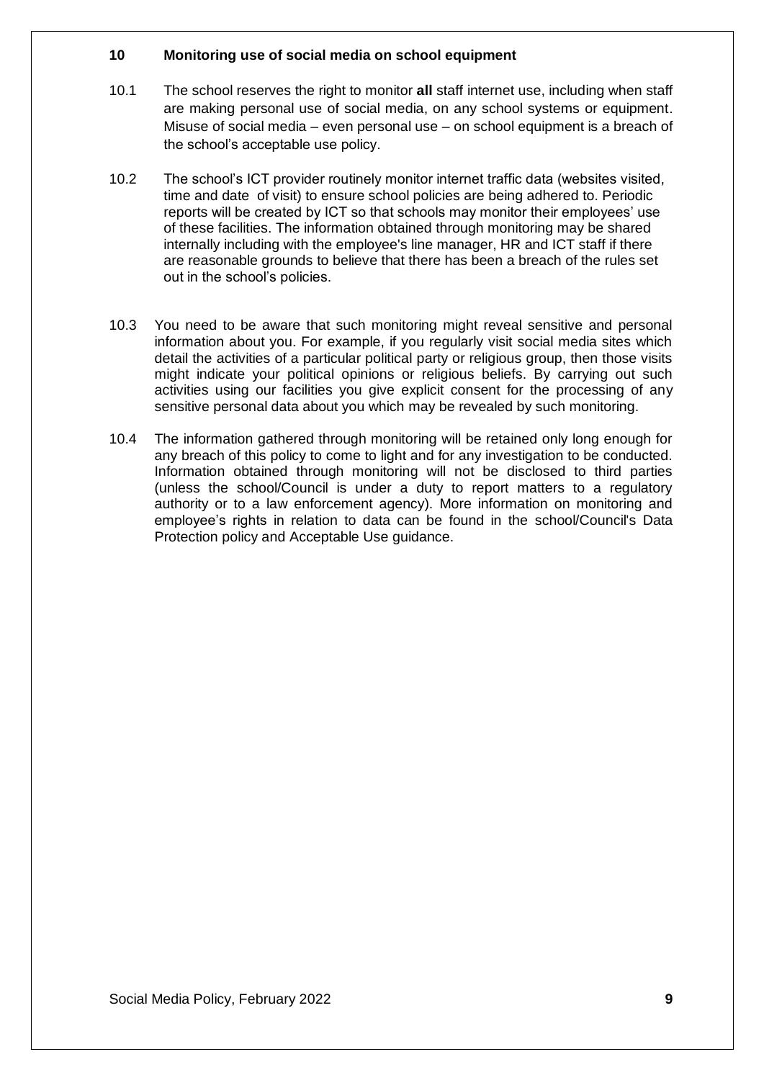#### <span id="page-8-0"></span>**10 Monitoring use of social media on school equipment**

- 10.1 The school reserves the right to monitor **all** staff internet use, including when staff are making personal use of social media, on any school systems or equipment. Misuse of social media – even personal use – on school equipment is a breach of the school's acceptable use policy.
- 10.2 The school's ICT provider routinely monitor internet traffic data (websites visited, time and date of visit) to ensure school policies are being adhered to. Periodic reports will be created by ICT so that schools may monitor their employees' use of these facilities. The information obtained through monitoring may be shared internally including with the employee's line manager, HR and ICT staff if there are reasonable grounds to believe that there has been a breach of the rules set out in the school's policies.
- 10.3 You need to be aware that such monitoring might reveal sensitive and personal information about you. For example, if you regularly visit social media sites which detail the activities of a particular political party or religious group, then those visits might indicate your political opinions or religious beliefs. By carrying out such activities using our facilities you give explicit consent for the processing of any sensitive personal data about you which may be revealed by such monitoring.
- 10.4 The information gathered through monitoring will be retained only long enough for any breach of this policy to come to light and for any investigation to be conducted. Information obtained through monitoring will not be disclosed to third parties (unless the school/Council is under a duty to report matters to a regulatory authority or to a law enforcement agency). More information on monitoring and employee's rights in relation to data can be found in the school/Council's Data Protection policy and Acceptable Use guidance.